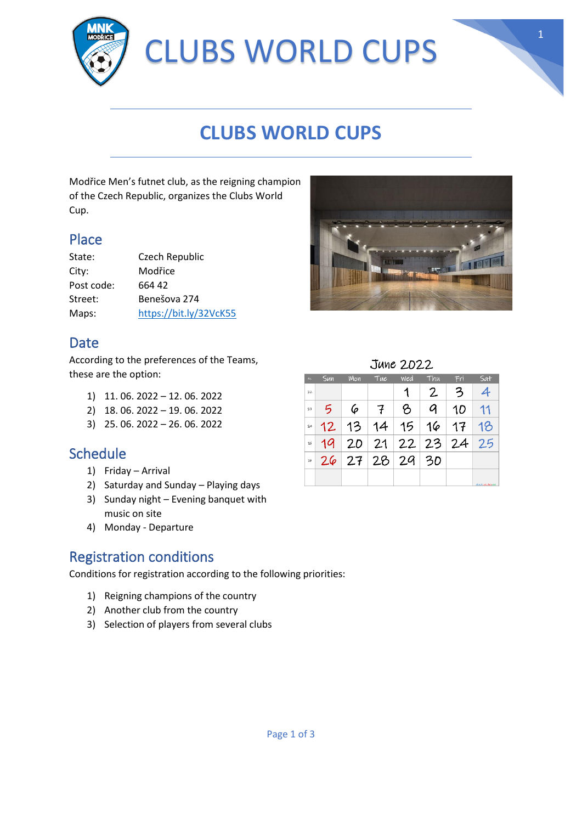

# **CLUBS WORLD CUPS**

Modřice Men's futnet club, as the reigning champion of the Czech Republic, organizes the Clubs World Cup.

### Place

| State:     | Czech Republic         |
|------------|------------------------|
| City:      | Modřice                |
| Post code: | 664 42                 |
| Street:    | Benešova 274           |
| Maps:      | https://bit.ly/32VcK55 |

## Date

According to the preferences of the Teams, these are the option:

- 1) 11. 06. 2022 12. 06. 2022
- 2) 18. 06. 2022 19. 06. 2022
- 3) 25. 06. 2022 26. 06. 2022

### **Schedule**

- 1) Friday Arrival
- 2) Saturday and Sunday Playing days
- 3) Sunday night Evening banquet with music on site
- 4) Monday Departure

# Registration conditions

Conditions for registration according to the following priorities:

- 1) Reigning champions of the country
- 2) Another club from the country
- 3) Selection of players from several clubs



| No. | Sun | Mon | Tue | wed | Thu, | Fri | Sat               |
|-----|-----|-----|-----|-----|------|-----|-------------------|
| 22  |     |     |     |     | 2    | 3   |                   |
| 23  | 5   | 6   |     | ይ   | a    | 10  | 11                |
| 24  | 12  | 13  | 14  | 15  | 16   | 17  | 18                |
| 25  | 19  | 20  | 21  | 22  | 23   | 24  | 25                |
| 24  | 26  | 27  | 28  | 29  | 30   |     |                   |
|     |     |     |     |     |      |     |                   |
|     |     |     |     |     |      |     | absolute designer |

1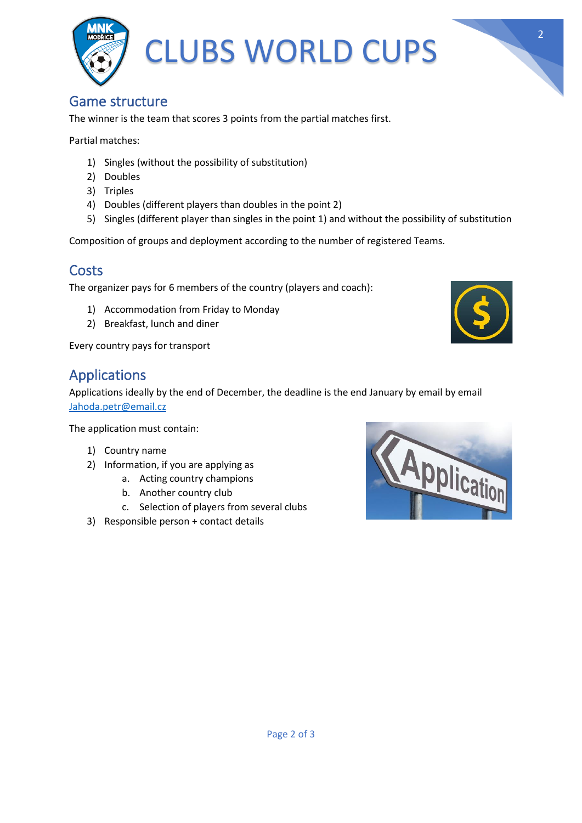

#### Game structure

The winner is the team that scores 3 points from the partial matches first.

Partial matches:

- 1) Singles (without the possibility of substitution)
- 2) Doubles
- 3) Triples
- 4) Doubles (different players than doubles in the point 2)
- 5) Singles (different player than singles in the point 1) and without the possibility of substitution

Composition of groups and deployment according to the number of registered Teams.

### **Costs**

The organizer pays for 6 members of the country (players and coach):

- 1) Accommodation from Friday to Monday
- 2) Breakfast, lunch and diner

Every country pays for transport

## Applications

Applications ideally by the end of December, the deadline is the end January by email by email [Jahoda.petr@email.cz](mailto:Jahoda.petr@email.cz)

The application must contain:

- 1) Country name
- 2) Information, if you are applying as
	- a. Acting country champions
	- b. Another country club
	- c. Selection of players from several clubs
- 3) Responsible person + contact details





2

Page 2 of 3